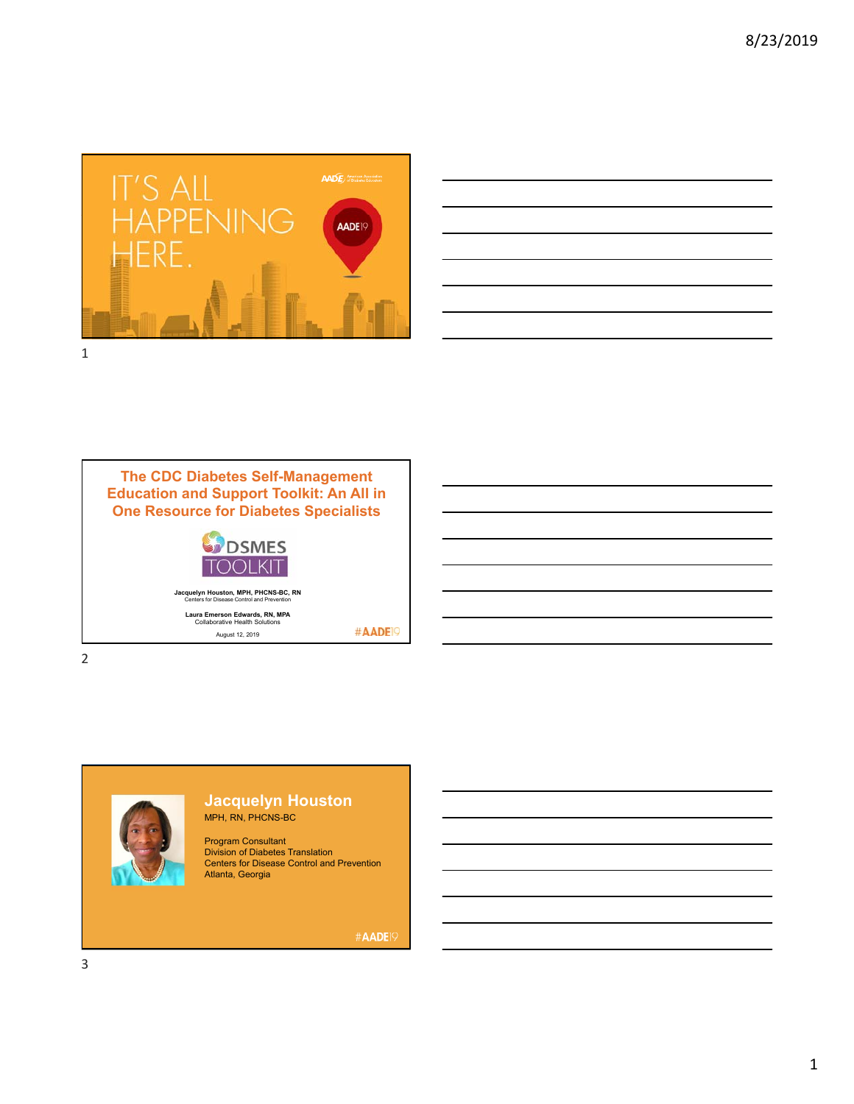





August 12, 2019

2



#### **Jacquelyn Houston**  MPH, RN, PHCNS-BC

Program Consultant Division of Diabetes Translation Centers for Disease Control and Prevention Atlanta, Georgia

#AADE<sup>19</sup>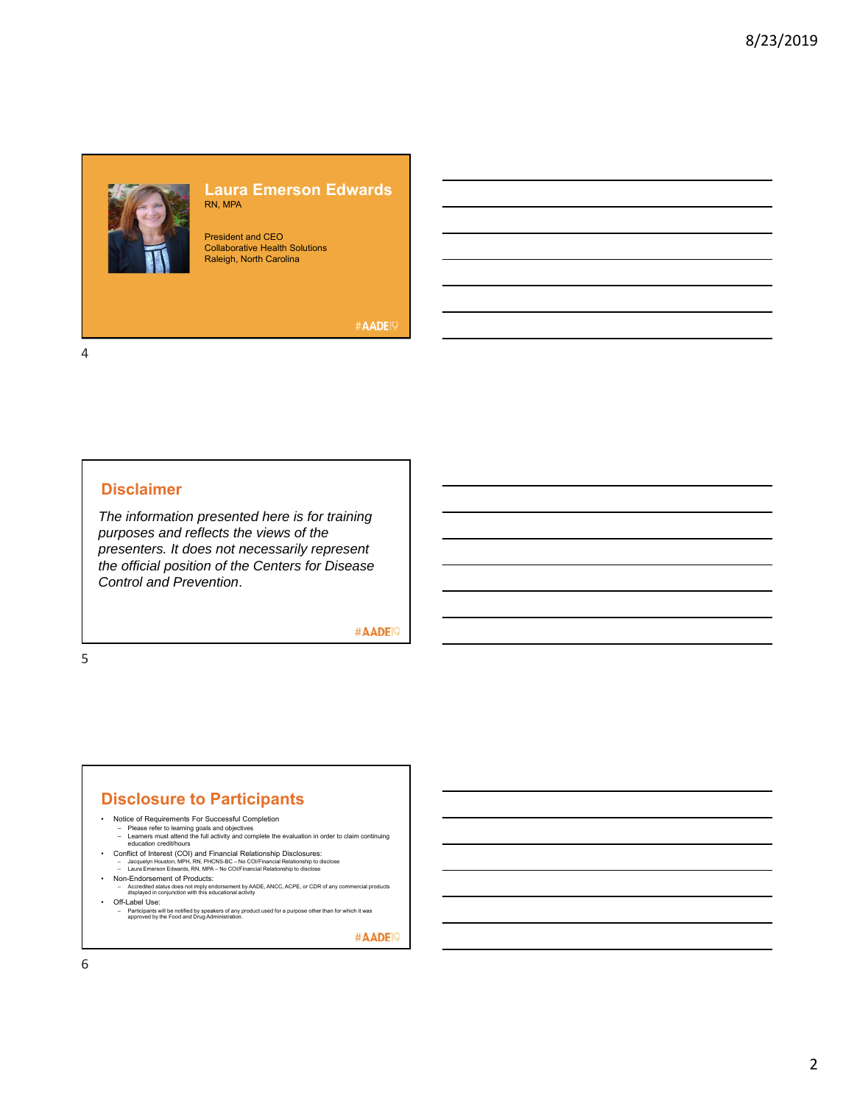#### **Laura Emerson Edwards** RN, MPA

President and CEO Collaborative Health Solutions Raleigh, North Carolina

#AADE<sup>19</sup>

4

### **Disclaimer**

*The information presented here is for training purposes and reflects the views of the presenters. It does not necessarily represent the official position of the Centers for Disease Control and Prevention*.

#AADE<sup>19</sup>

5

#### **Disclosure to Participants**

- Notice of Requirements For Successful Completion
	-
	- Please refer to learning goals and objectives Learners must attend the full activity and complete the evaluation in order to claim continuing education credit/hours
	-
- Conflict of Interest (COI) and Financial Relationship Disclosures:<br>- Jacquelyn Houston, MPH, RN, PHCNS-BC No COl/Financial Relationship to disclose<br>- Laura Emerson Edwards, RN, MPA No COl/Financial Relationship to d
- 
- Non-Endorsement of Products: Accredited status does not imply endorsement by AADE, ANCC, ACPE, or CDR of any commercial products displayed in conjunction with this educational activity • Off-Label Use:
	-

– Participants will be notified by speakers of any product used for a purpose other than for which it was approved by the Food and Drug Administration.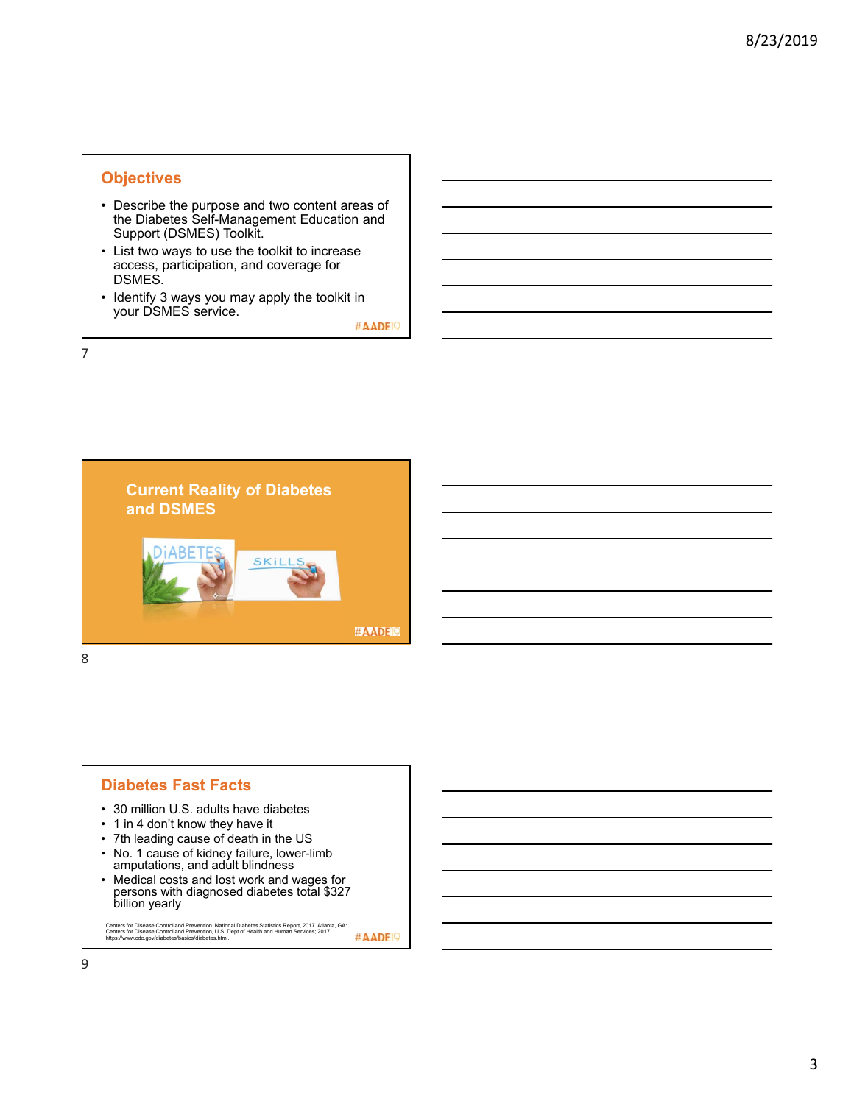# **Objectives**

- Describe the purpose and two content areas of the Diabetes Self-Management Education and Support (DSMES) Toolkit.
- List two ways to use the toolkit to increase access, participation, and coverage for DSMES.
- Identify 3 ways you may apply the toolkit in your DSMES service.

#AADE<sup>19</sup>

7



- **Diabetes Fast Facts**
- 30 million U.S. adults have diabetes
- 1 in 4 don't know they have it
- 7th leading cause of death in the US
- No. 1 cause of kidney failure, lower-limb amputations, and adult blindness
- Medical costs and lost work and wages for persons with diagnosed diabetes total \$327 billion yearly

Centers for Disease Control and Prevention. National Diabetes Statistics Report, 2017. Atlanta, GA:<br>Centers for Disease Control and Prevention, U.S. Dept of Health and Human Services; 2017.<br>https://www.cdc.gov/diabetes/bas #AADE<sup>19</sup>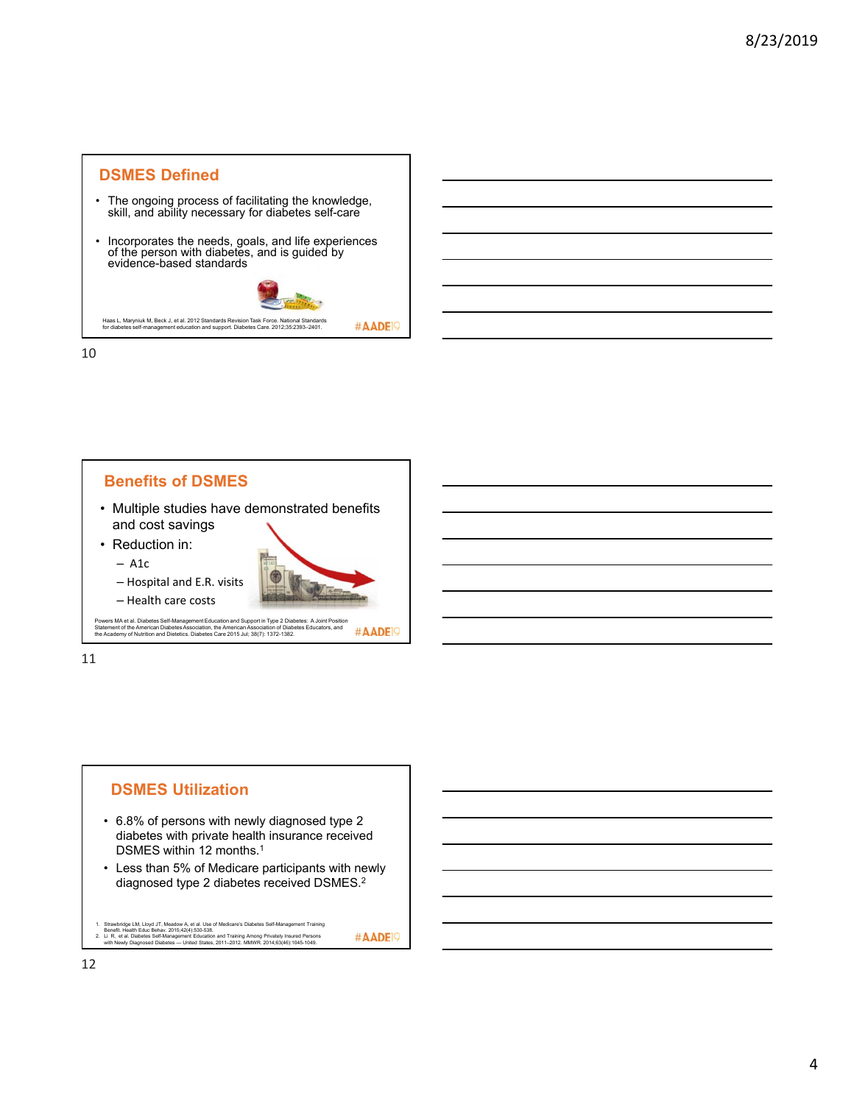

10



# **DSMES Utilization**

- 6.8% of persons with newly diagnosed type 2 diabetes with private health insurance received DSMES within 12 months.<sup>1</sup>
- Less than 5% of Medicare participants with newly diagnosed type 2 diabetes received DSMES.2
- 
- 1. Strawbridge LM, Lloyd JT, Meadow A, et al. Use of Medicare's Diabetes Self-Management Training<br>2. Et R, et al. Diabetes Self-Management Education and Training Among Privately Insured Persons<br>2. Li R, et al. Diabetes Se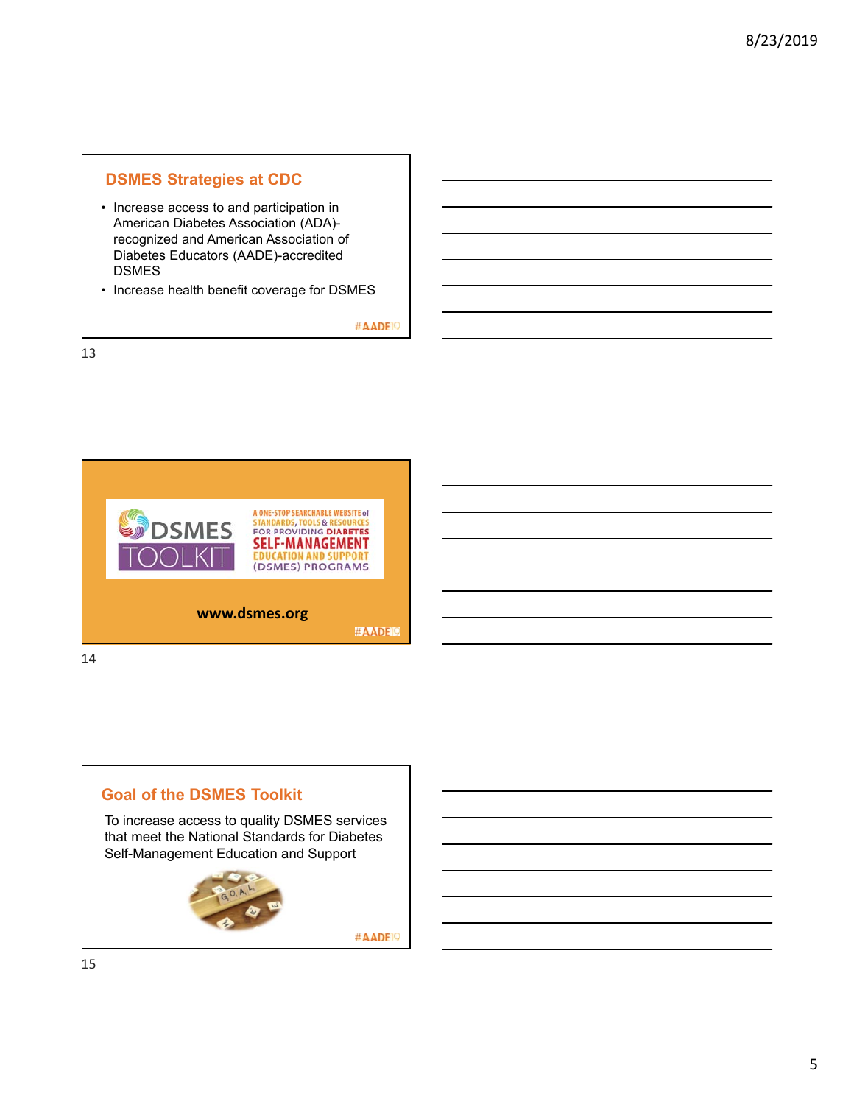## **DSMES Strategies at CDC**

• Increase access to and participation in American Diabetes Association (ADA) recognized and American Association of Diabetes Educators (AADE)-accredited DSMES

• Increase health benefit coverage for DSMES

#AADE<sup>19</sup>



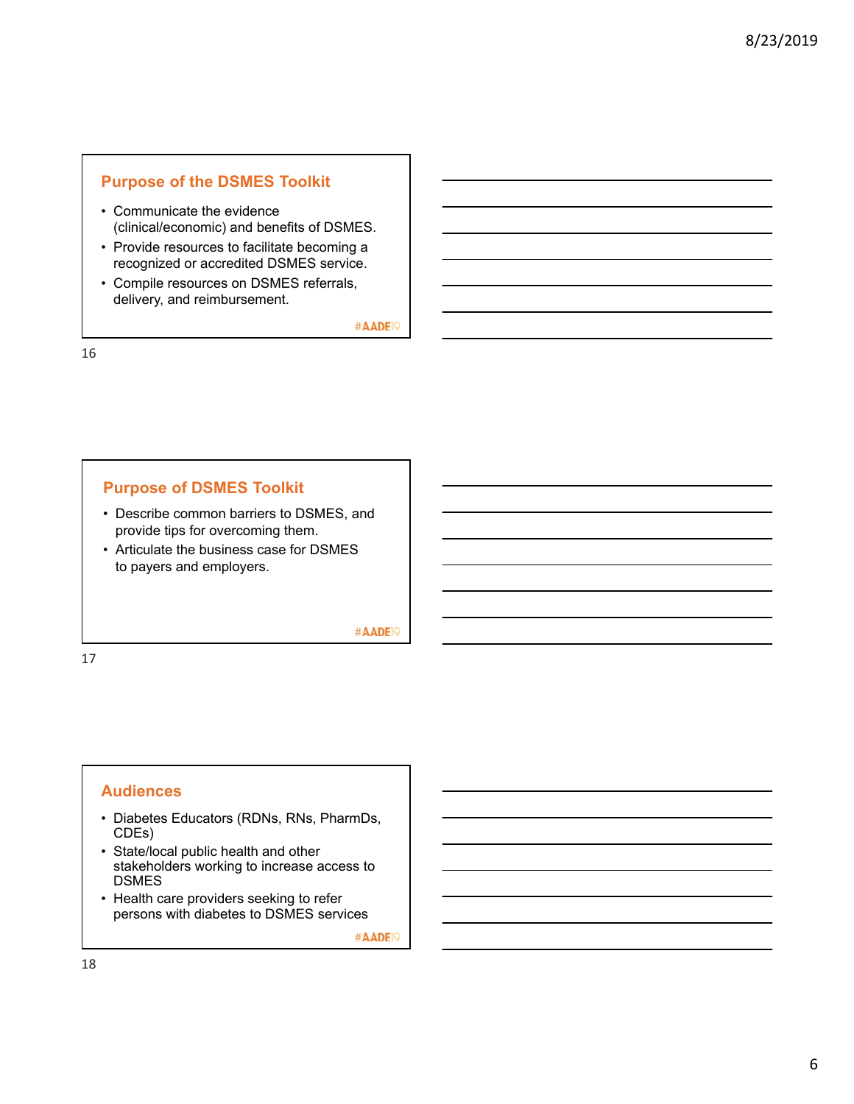## **Purpose of the DSMES Toolkit**

- Communicate the evidence (clinical/economic) and benefits of DSMES.
- Provide resources to facilitate becoming a recognized or accredited DSMES service.
- Compile resources on DSMES referrals, delivery, and reimbursement.

#AADE<sup>19</sup>

16

## **Purpose of DSMES Toolkit**

- Describe common barriers to DSMES, and provide tips for overcoming them.
- Articulate the business case for DSMES to payers and employers.

#AADE<sup>19</sup>

17

### **Audiences**

- Diabetes Educators (RDNs, RNs, PharmDs, CDEs)
- State/local public health and other stakeholders working to increase access to DSMES
- Health care providers seeking to refer persons with diabetes to DSMES services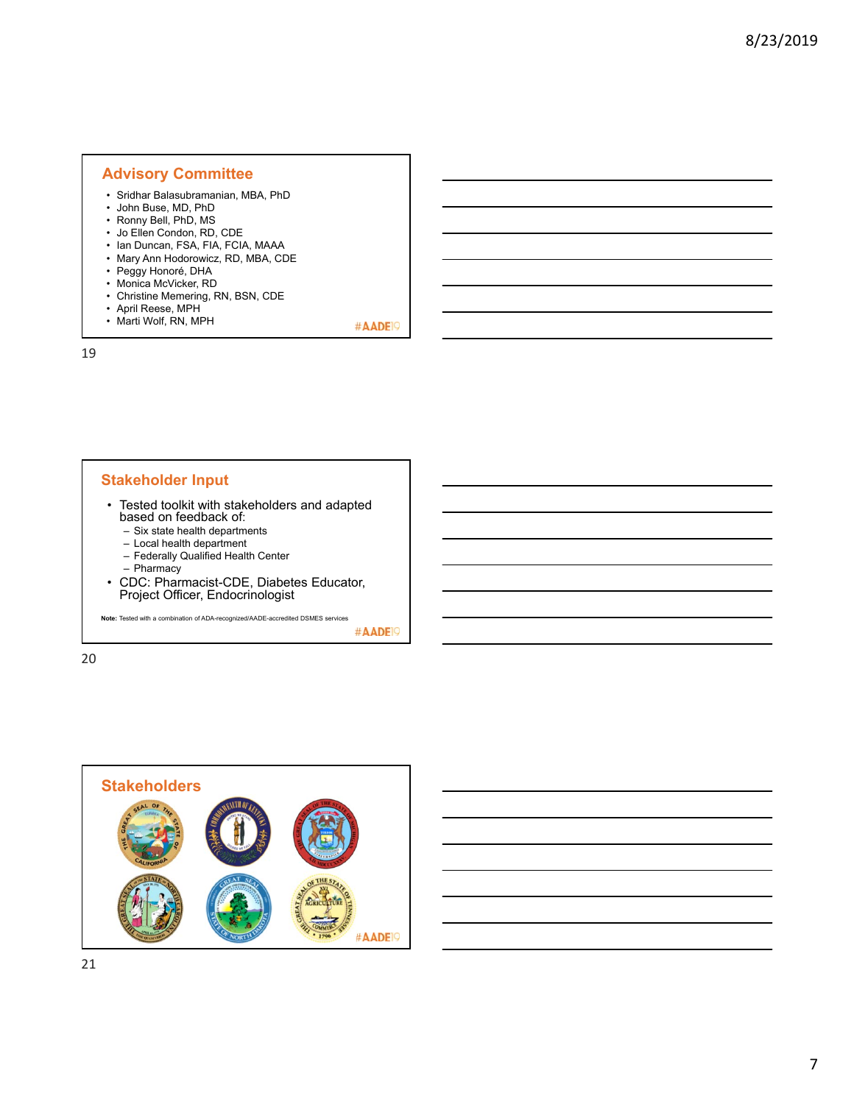### **Advisory Committee**

- Sridhar Balasubramanian, MBA, PhD
- John Buse, MD, PhD
- Ronny Bell, PhD, MS
- Jo Ellen Condon, RD, CDE
- Ian Duncan, FSA, FIA, FCIA, MAAA
- Mary Ann Hodorowicz, RD, MBA, CDE
- Peggy Honoré, DHA • Monica McVicker, RD
- Christine Memering, RN, BSN, CDE
- April Reese, MPH
- Marti Wolf, RN, MPH

#AADE<sup>19</sup>

19

#### **Stakeholder Input**

- Tested toolkit with stakeholders and adapted based on feedback of:
	- Six state health departments
	- Local health department
	- Federally Qualified Health Center
	- Pharmacy
- CDC: Pharmacist-CDE, Diabetes Educator, Project Officer, Endocrinologist

**Note:** Tested with a combination of ADA-recognized/AADE-accredited DSMES services

#AADE<sup>19</sup>

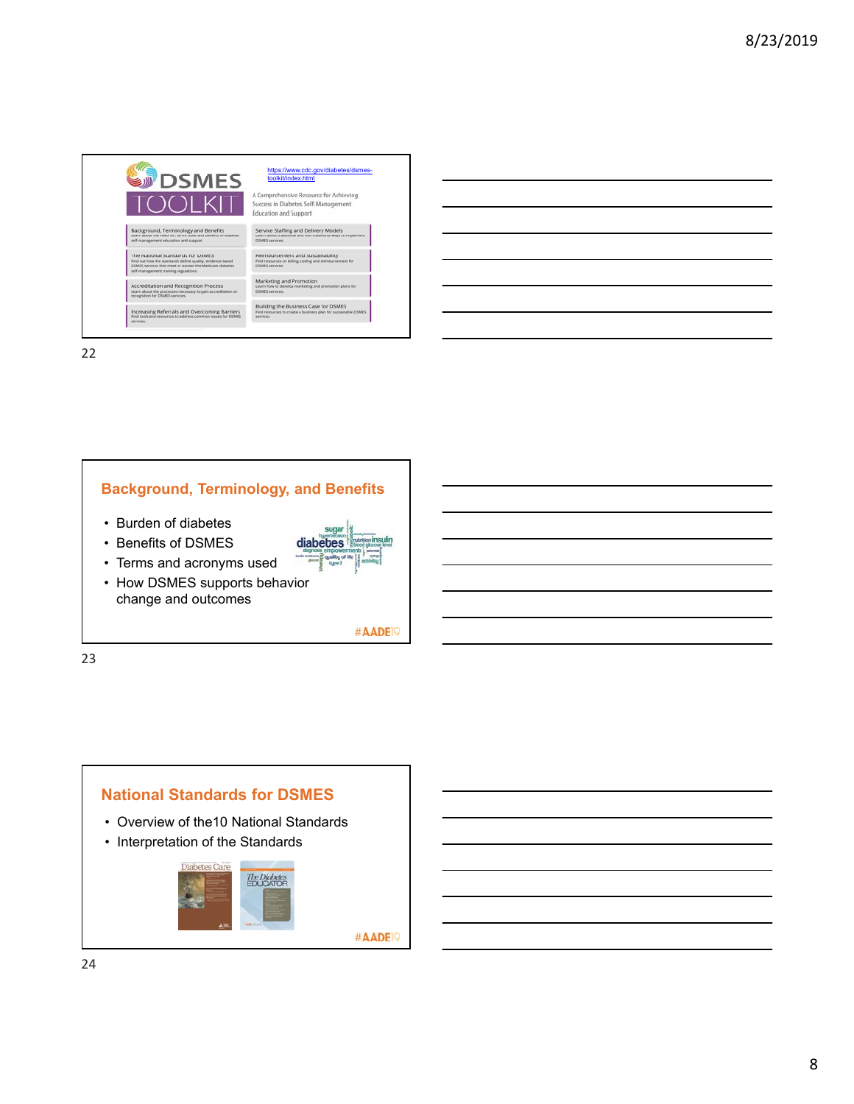

22



#AADE<sup>19</sup>

23

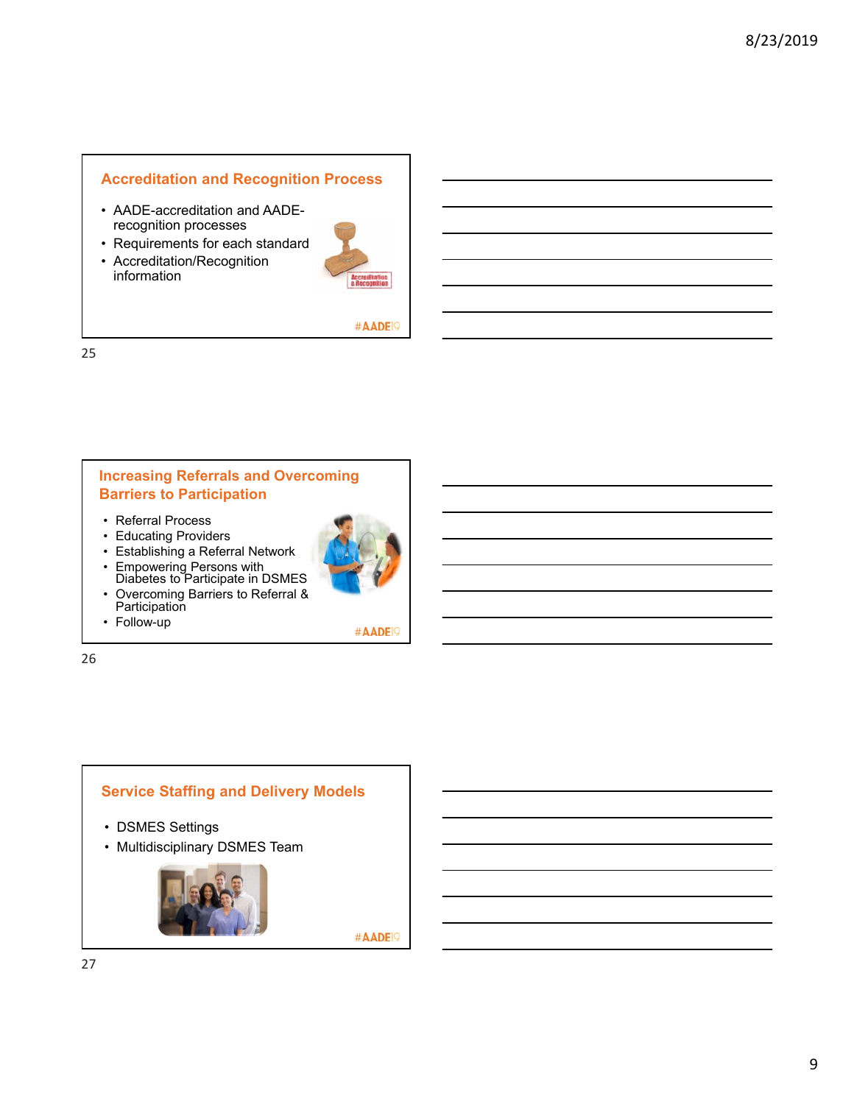# **Accreditation and Recognition Process**

- AADE-accreditation and AADErecognition processes
- Requirements for each standard
- Accreditation/Recognition information



#AADE<sup>19</sup>

25

## **Increasing Referrals and Overcoming Barriers to Participation**

- Referral Process
- Educating Providers
- Establishing a Referral Network
- Empowering Persons with
- Diabetes to Participate in DSMES • Overcoming Barriers to Referral &
- Participation
- Follow-up

#AADE<sup>19</sup>

26

# **Service Staffing and Delivery Models**

- DSMES Settings
- Multidisciplinary DSMES Team

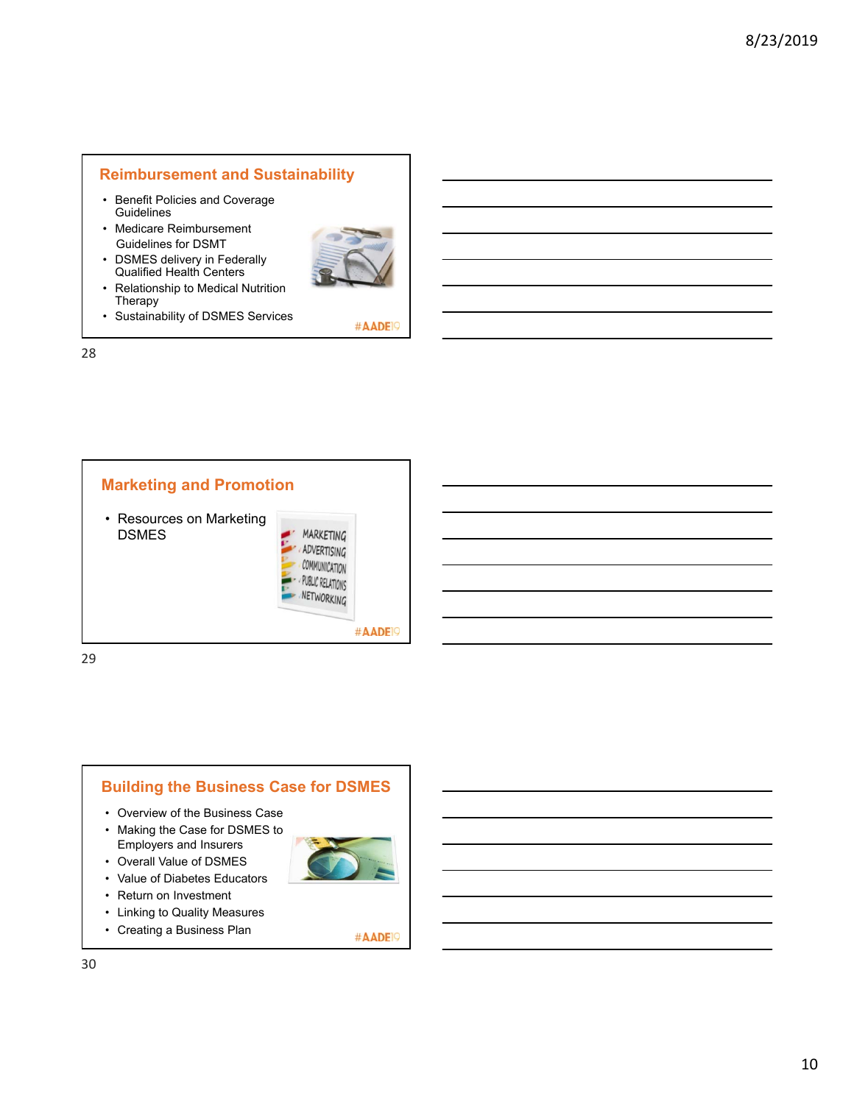## **Reimbursement and Sustainability**

- Benefit Policies and Coverage **Guidelines**
- Medicare Reimbursement Guidelines for DSMT
- DSMES delivery in Federally Qualified Health Centers



#AADE<sup>19</sup>

- Relationship to Medical Nutrition Therapy
- Sustainability of DSMES Services

28





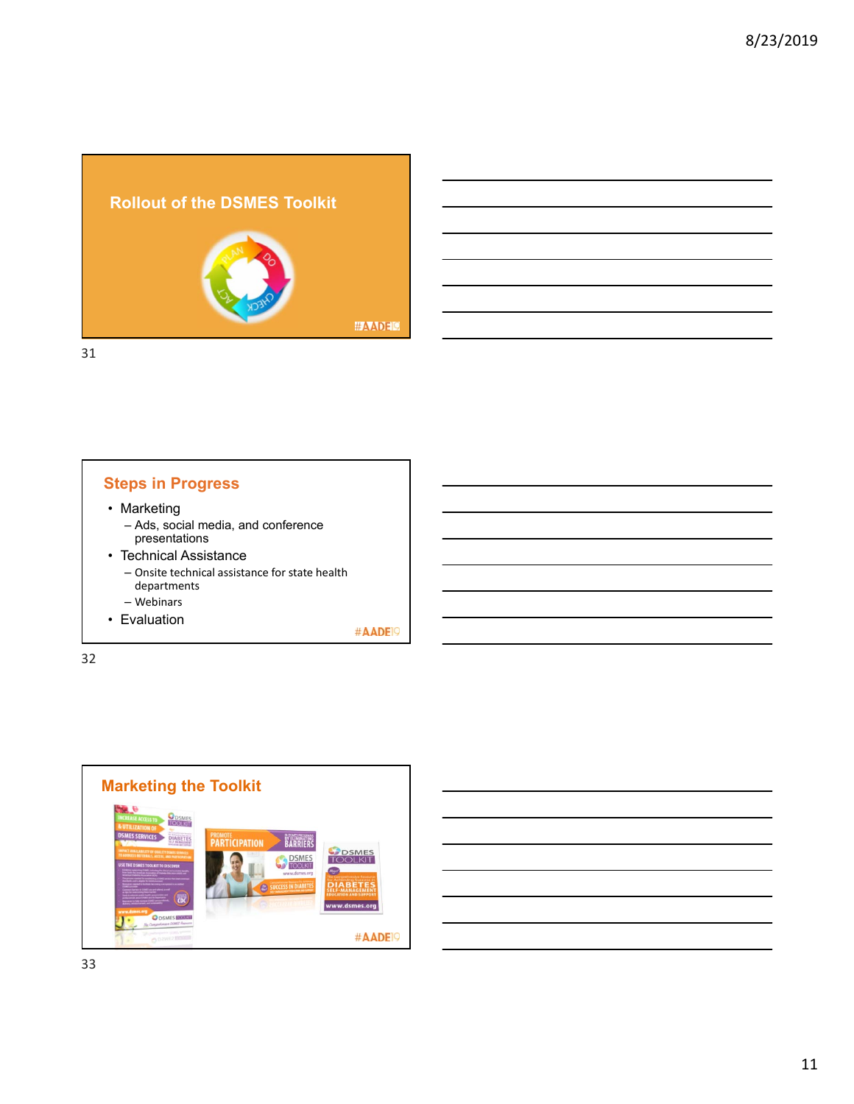



# **Steps in Progress**

- Marketing
	- Ads, social media, and conference presentations
- Technical Assistance – Onsite technical assistance for state health departments
	- Webinars
- Evaluation

#AADE<sup>19</sup>